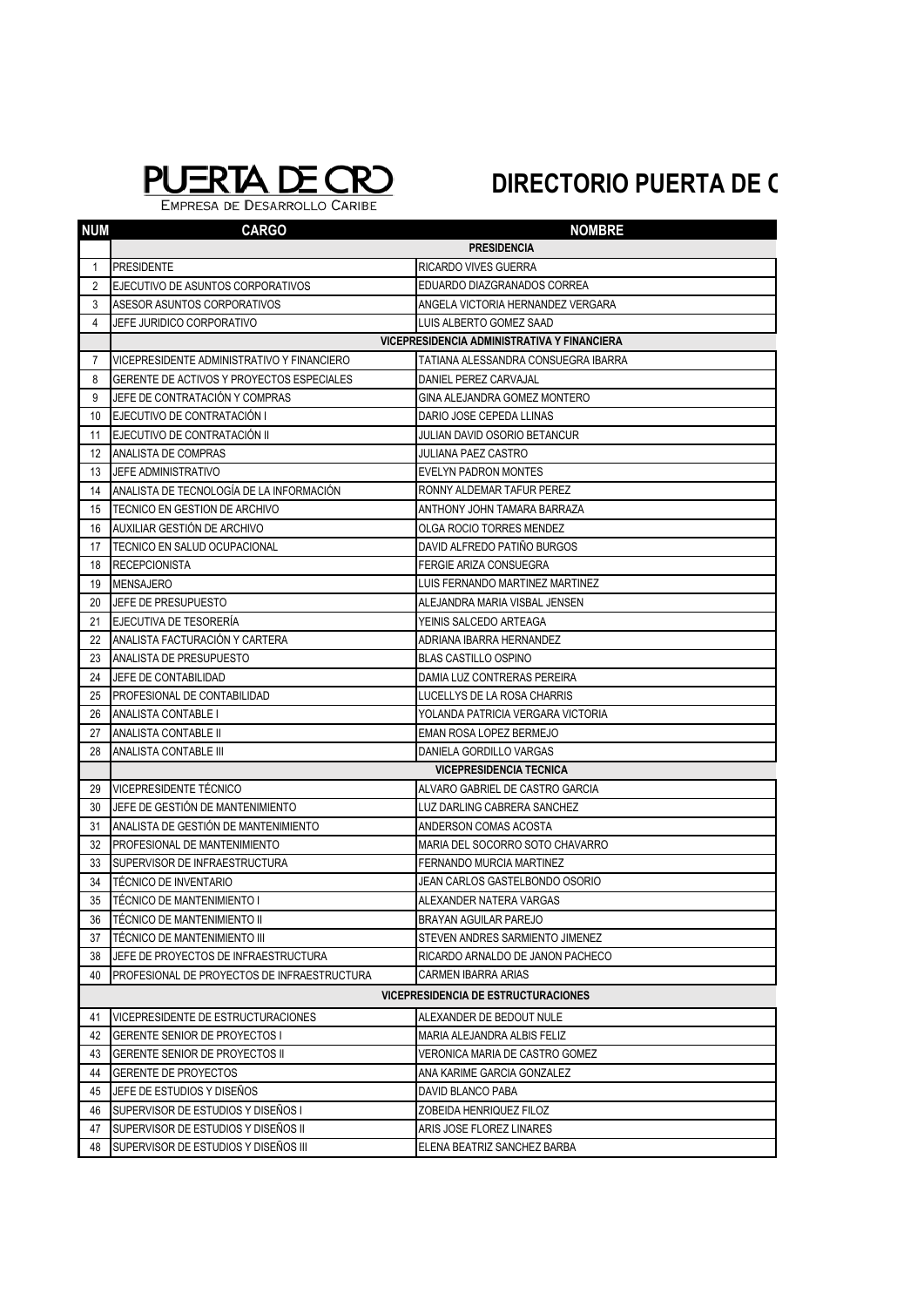## PUERTA DE CRO

EMPRESA DE DESARROLLO CARIBE

## **DIRECTORIO PUERTA DE C**

| <b>NUM</b>   | <b>CARGO</b>                                | <b>NOMBRE</b>                              |  |  |  |
|--------------|---------------------------------------------|--------------------------------------------|--|--|--|
|              |                                             | <b>PRESIDENCIA</b>                         |  |  |  |
| $\mathbf{1}$ | <b>PRESIDENTE</b>                           | RICARDO VIVES GUERRA                       |  |  |  |
| 2            | EJECUTIVO DE ASUNTOS CORPORATIVOS           | EDUARDO DIAZGRANADOS CORREA                |  |  |  |
| 3            | ASESOR ASUNTOS CORPORATIVOS                 | ANGELA VICTORIA HERNANDEZ VERGARA          |  |  |  |
| 4            | JEFE JURIDICO CORPORATIVO                   | LUIS ALBERTO GOMEZ SAAD                    |  |  |  |
|              | VICEPRESIDENCIA ADMINISTRATIVA Y FINANCIERA |                                            |  |  |  |
| 7            | VICEPRESIDENTE ADMINISTRATIVO Y FINANCIERO  | TATIANA ALESSANDRA CONSUEGRA IBARRA        |  |  |  |
| 8            | GERENTE DE ACTIVOS Y PROYECTOS ESPECIALES   | DANIEL PEREZ CARVAJAL                      |  |  |  |
| 9            | JEFE DE CONTRATACIÓN Y COMPRAS              | GINA ALEJANDRA GOMEZ MONTERO               |  |  |  |
| 10           | EJECUTIVO DE CONTRATACIÓN I                 | DARIO JOSE CEPEDA LLINAS                   |  |  |  |
| 11           | EJECUTIVO DE CONTRATACIÓN II                | <b>JULIAN DAVID OSORIO BETANCUR</b>        |  |  |  |
| 12           | ANALISTA DE COMPRAS                         | <b>JULIANA PAEZ CASTRO</b>                 |  |  |  |
| 13           | JEFE ADMINISTRATIVO                         | EVELYN PADRON MONTES                       |  |  |  |
| 14           | ANALISTA DE TECNOLOGÍA DE LA INFORMACIÓN    | RONNY ALDEMAR TAFUR PEREZ                  |  |  |  |
| 15           | TECNICO EN GESTION DE ARCHIVO               | ANTHONY JOHN TAMARA BARRAZA                |  |  |  |
| 16           | AUXILIAR GESTIÓN DE ARCHIVO                 | OLGA ROCIO TORRES MENDEZ                   |  |  |  |
| 17           | TECNICO EN SALUD OCUPACIONAL                | DAVID ALFREDO PATIÑO BURGOS                |  |  |  |
| 18           | <b>RECEPCIONISTA</b>                        | FERGIE ARIZA CONSUEGRA                     |  |  |  |
| 19           | <b>MENSAJERO</b>                            | LUIS FERNANDO MARTINEZ MARTINEZ            |  |  |  |
| 20           | JEFE DE PRESUPUESTO                         | ALEJANDRA MARIA VISBAL JENSEN              |  |  |  |
| 21           | EJECUTIVA DE TESORERIA                      | YEINIS SALCEDO ARTEAGA                     |  |  |  |
| 22           | ANALISTA FACTURACIÓN Y CARTERA              | ADRIANA IBARRA HERNANDEZ                   |  |  |  |
| 23           | <b>ANALISTA DE PRESUPUESTO</b>              | <b>BLAS CASTILLO OSPINO</b>                |  |  |  |
| 24           | JEFE DE CONTABILIDAD                        | DAMIA LUZ CONTRERAS PEREIRA                |  |  |  |
| 25           | PROFESIONAL DE CONTABILIDAD                 | LUCELLYS DE LA ROSA CHARRIS                |  |  |  |
| 26           | <b>ANALISTA CONTABLE I</b>                  | YOLANDA PATRICIA VERGARA VICTORIA          |  |  |  |
| 27           | ANALISTA CONTABLE II                        | EMAN ROSA LOPEZ BERMEJO                    |  |  |  |
| 28           | ANALISTA CONTABLE III                       | DANIELA GORDILLO VARGAS                    |  |  |  |
|              |                                             | <b>VICEPRESIDENCIA TECNICA</b>             |  |  |  |
| 29           | VICEPRESIDENTE TÉCNICO                      | ALVARO GABRIEL DE CASTRO GARCIA            |  |  |  |
| 30           | JEFE DE GESTION DE MANTENIMIENTO            | LUZ DARLING CABRERA SANCHEZ                |  |  |  |
| 31           | ANALISTA DE GESTIÓN DE MANTENIMIENTO        | ANDERSON COMAS ACOSTA                      |  |  |  |
| 32           | PROFESIONAL DE MANTENIMIENTO                | MARIA DEL SOCORRO SOTO CHAVARRO            |  |  |  |
| 33           | SUPERVISOR DE INFRAESTRUCTURA               | FERNANDO MURCIA MARTINEZ                   |  |  |  |
| 34           | <b>TÉCNICO DE INVENTARIO</b>                | JEAN CARLOS GASTELBONDO OSORIO             |  |  |  |
| 35           | TÉCNICO DE MANTENIMIENTO I                  | ALEXANDER NATERA VARGAS                    |  |  |  |
| 36           | <b>TECNICO DE MANTENIMIENTO II</b>          | BRAYAN AGUILAR PAREJO                      |  |  |  |
| 37           | TÉCNICO DE MANTENIMIENTO III                | STEVEN ANDRES SARMIENTO JIMENEZ            |  |  |  |
| 38           | JEFE DE PROYECTOS DE INFRAESTRUCTURA        | RICARDO ARNALDO DE JANON PACHECO           |  |  |  |
| 40           | PROFESIONAL DE PROYECTOS DE INFRAESTRUCTURA | <b>CARMEN IBARRA ARIAS</b>                 |  |  |  |
|              |                                             | <b>VICEPRESIDENCIA DE ESTRUCTURACIONES</b> |  |  |  |
| 41           | VICEPRESIDENTE DE ESTRUCTURACIONES          | ALEXANDER DE BEDOUT NULE                   |  |  |  |
| 42           | <b>GERENTE SENIOR DE PROYECTOS I</b>        | MARIA ALEJANDRA ALBIS FELIZ                |  |  |  |
| 43           | GERENTE SENIOR DE PROYECTOS II              | VERONICA MARIA DE CASTRO GOMEZ             |  |  |  |
| 44           | <b>GERENTE DE PROYECTOS</b>                 | ANA KARIME GARCIA GONZALEZ                 |  |  |  |
| 45           | JEFE DE ESTUDIOS Y DISEÑOS                  | DAVID BLANCO PABA                          |  |  |  |
| 46           | SUPERVISOR DE ESTUDIOS Y DISEÑOS I          | ZOBEIDA HENRIQUEZ FILOZ                    |  |  |  |
| 47           | SUPERVISOR DE ESTUDIOS Y DISEÑOS II         | ARIS JOSE FLOREZ LINARES                   |  |  |  |
| 48           | SUPERVISOR DE ESTUDIOS Y DISEÑOS III        | ELENA BEATRIZ SANCHEZ BARBA                |  |  |  |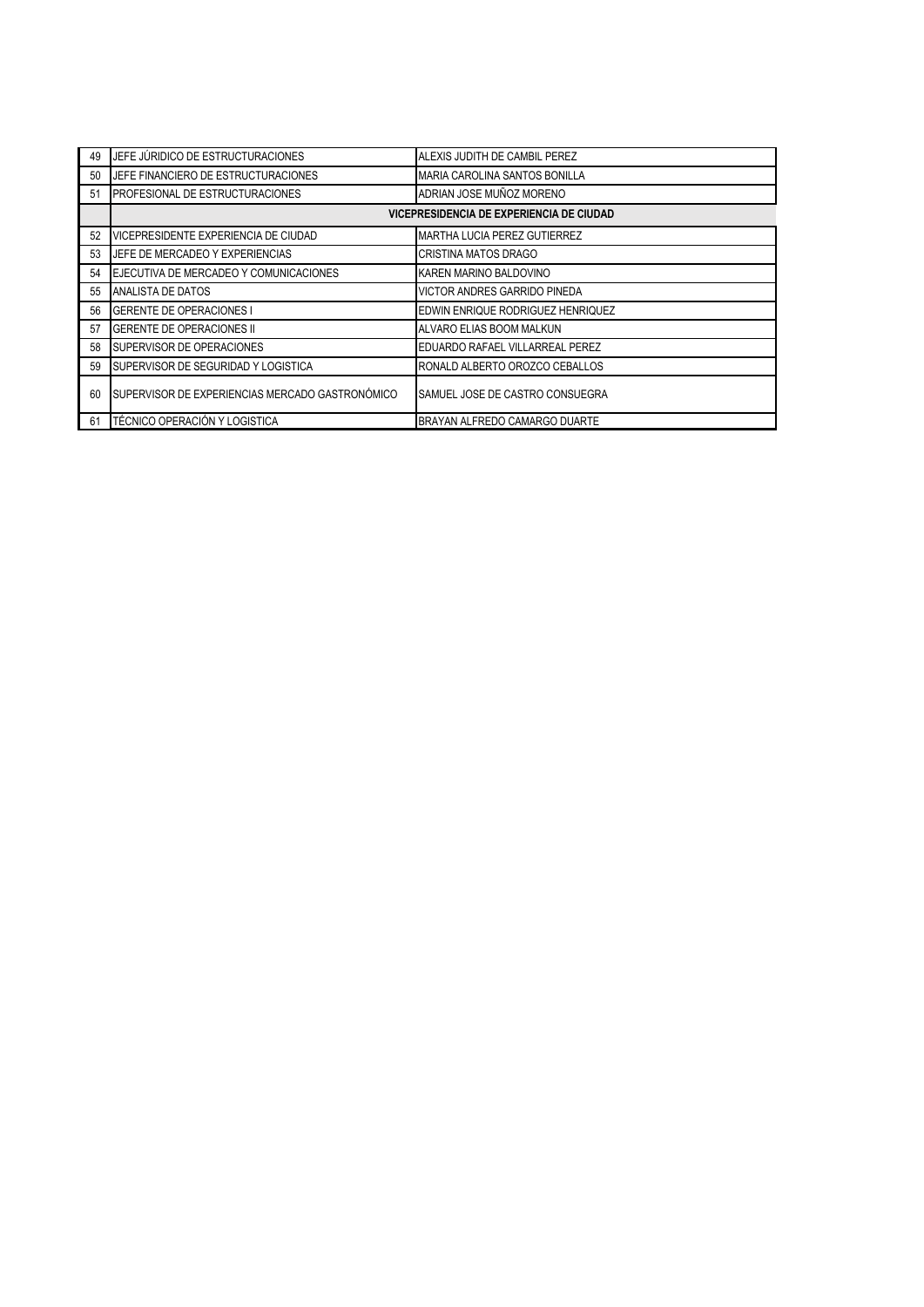| 49 | JEFE JÚRIDICO DE ESTRUCTURACIONES               | ALEXIS JUDITH DE CAMBIL PEREZ       |  |
|----|-------------------------------------------------|-------------------------------------|--|
| 50 | JEFE FINANCIERO DE ESTRUCTURACIONES             | MARIA CAROLINA SANTOS BONILLA       |  |
| 51 | <b>PROFESIONAL DE ESTRUCTURACIONES</b>          | ADRIAN JOSE MUÑOZ MORENO            |  |
|    | VICEPRESIDENCIA DE EXPERIENCIA DE CIUDAD        |                                     |  |
| 52 | VICEPRESIDENTE EXPERIENCIA DE CIUDAD            | <b>MARTHA LUCIA PEREZ GUTIERREZ</b> |  |
| 53 | UEFE DE MERCADEO Y EXPERIENCIAS                 | <b>CRISTINA MATOS DRAGO</b>         |  |
| 54 | EJECUTIVA DE MERCADEO Y COMUNICACIONES          | KAREN MARINO BALDOVINO              |  |
| 55 | ANALISTA DE DATOS                               | <b>VICTOR ANDRES GARRIDO PINEDA</b> |  |
| 56 | <b>GERENTE DE OPERACIONES I</b>                 | EDWIN ENRIQUE RODRIGUEZ HENRIQUEZ   |  |
| 57 | <b>GERENTE DE OPERACIONES II</b>                | ALVARO ELIAS BOOM MALKUN            |  |
| 58 | SUPERVISOR DE OPERACIONES                       | EDUARDO RAFAEL VILLARREAL PEREZ     |  |
| 59 | <b>ISUPERVISOR DE SEGURIDAD Y LOGISTICA</b>     | RONALD ALBERTO OROZCO CEBALLOS      |  |
| 60 | SUPERVISOR DE EXPERIENCIAS MERCADO GASTRONÓMICO | SAMUEL JOSE DE CASTRO CONSUEGRA     |  |
| 61 | <b>TÉCNICO OPERACIÓN Y LOGISTICA</b>            | BRAYAN ALFREDO CAMARGO DUARTE       |  |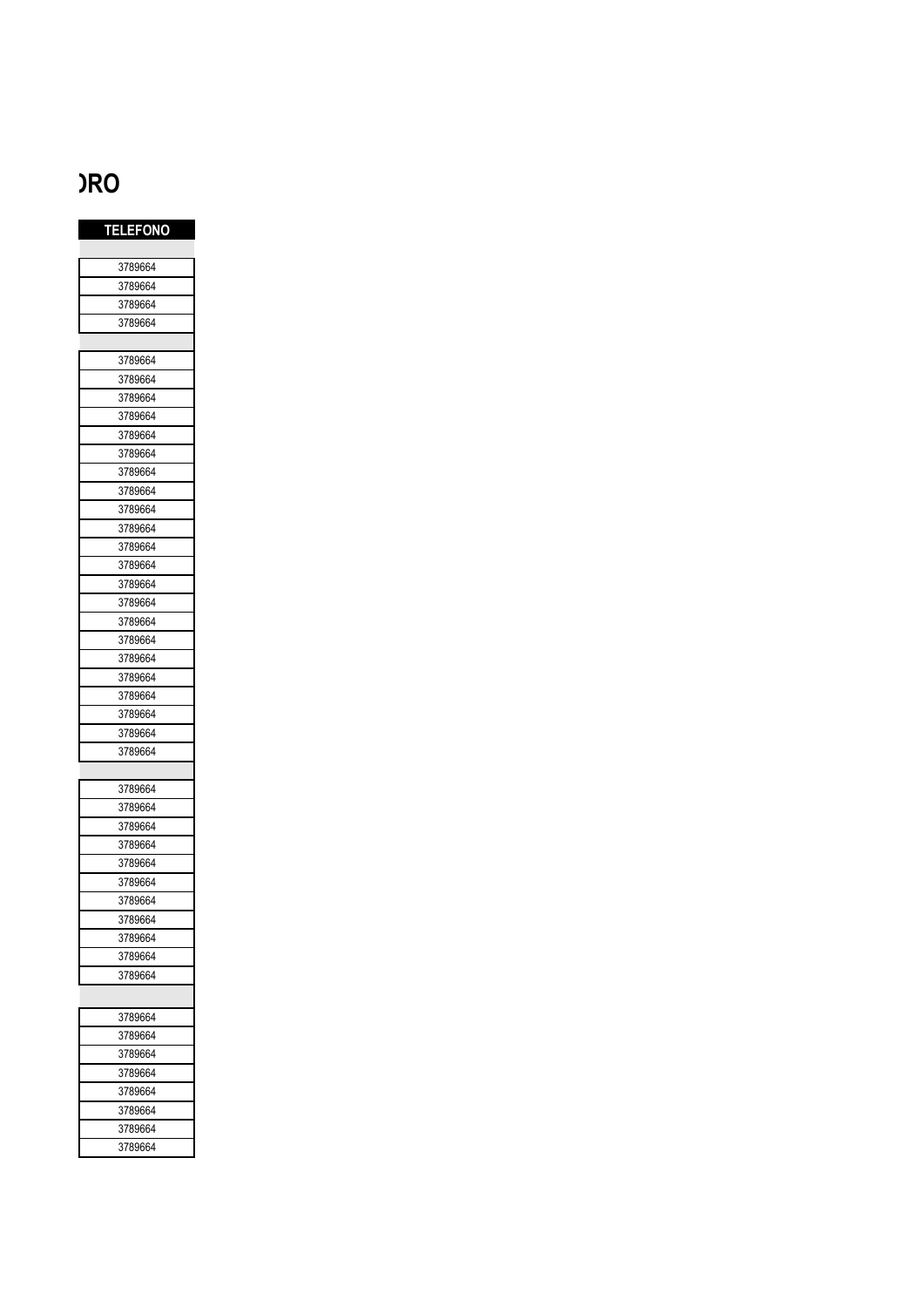## **DIRECTORIO PUERTA DE ORO**

| <b>TELEFONO</b> |
|-----------------|
|                 |
| 3789664         |
| 3789664         |
| 3789664         |
| 3789664         |
|                 |
| 3789664         |
| 3789664         |
| 3789664         |
| 3789664         |
| 3789664         |
| 3789664         |
| 3789664         |
| 3789664         |
| 3789664         |
| 3789664         |
| 3789664         |
| 3789664         |
| 3789664         |
| 3789664         |
| 3789664         |
| 3789664         |
| 3789664         |
| 3789664         |
| 3789664         |
| 3789664         |
| 3789664         |
| 3789664         |
|                 |
| 3789664         |
| 3789664         |
| 3789664         |
| 3789664         |
| 3789664         |
| 3789664         |
| 3789664         |
| 3789664         |
| 3789664         |
| 3789664         |
| 3789664         |
|                 |
| 3789664         |
| 3789664         |
| 3789664         |
| 3789664         |
| 3789664         |
| 3789664         |
| 3789664         |
| 3789664         |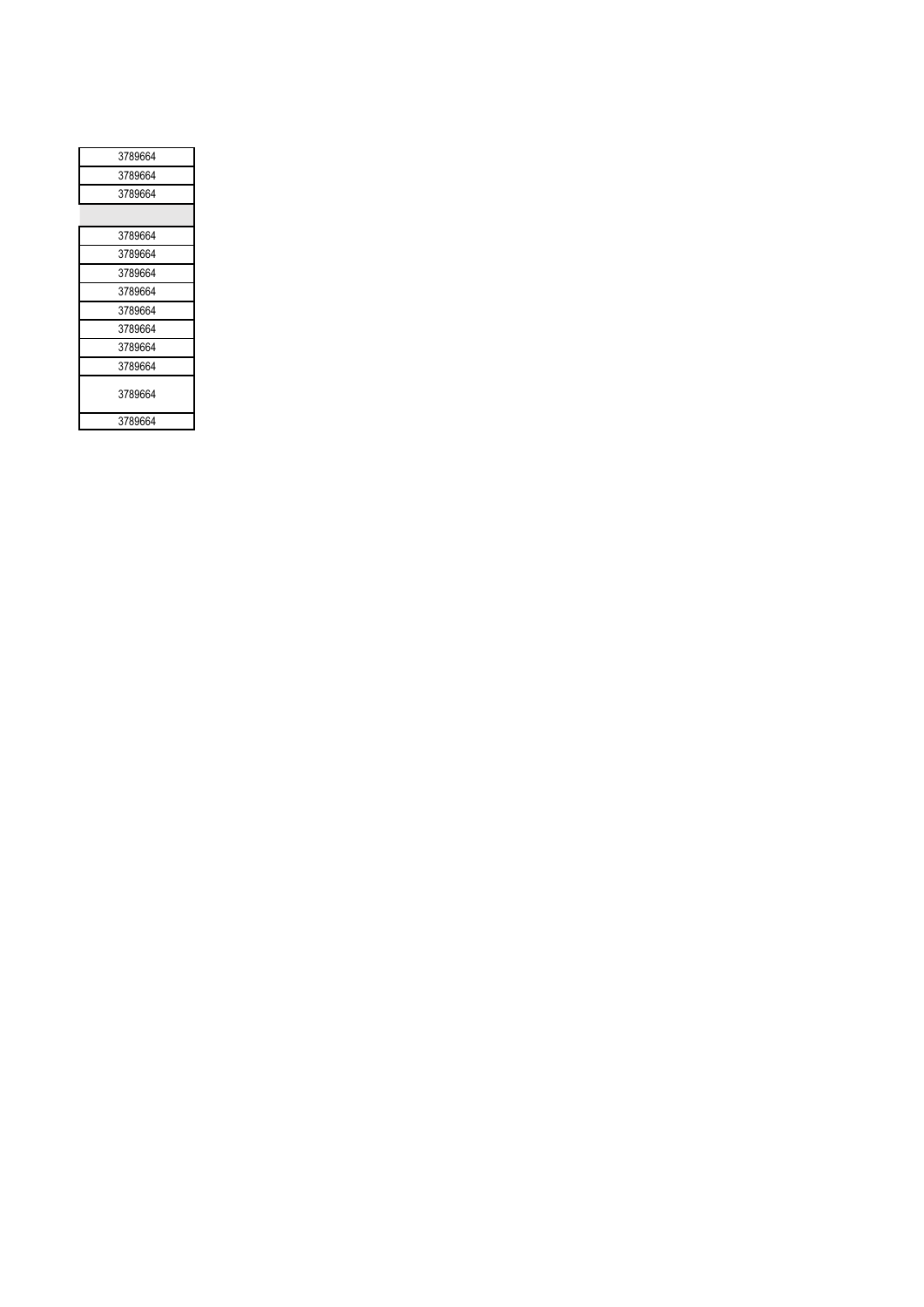| 3789664 |
|---------|
| 3789664 |
| 3789664 |
|         |
| 3789664 |
| 3789664 |
| 3789664 |
| 3789664 |
| 3789664 |
| 3789664 |
| 3789664 |
| 3789664 |
| 3789664 |
| 3789664 |